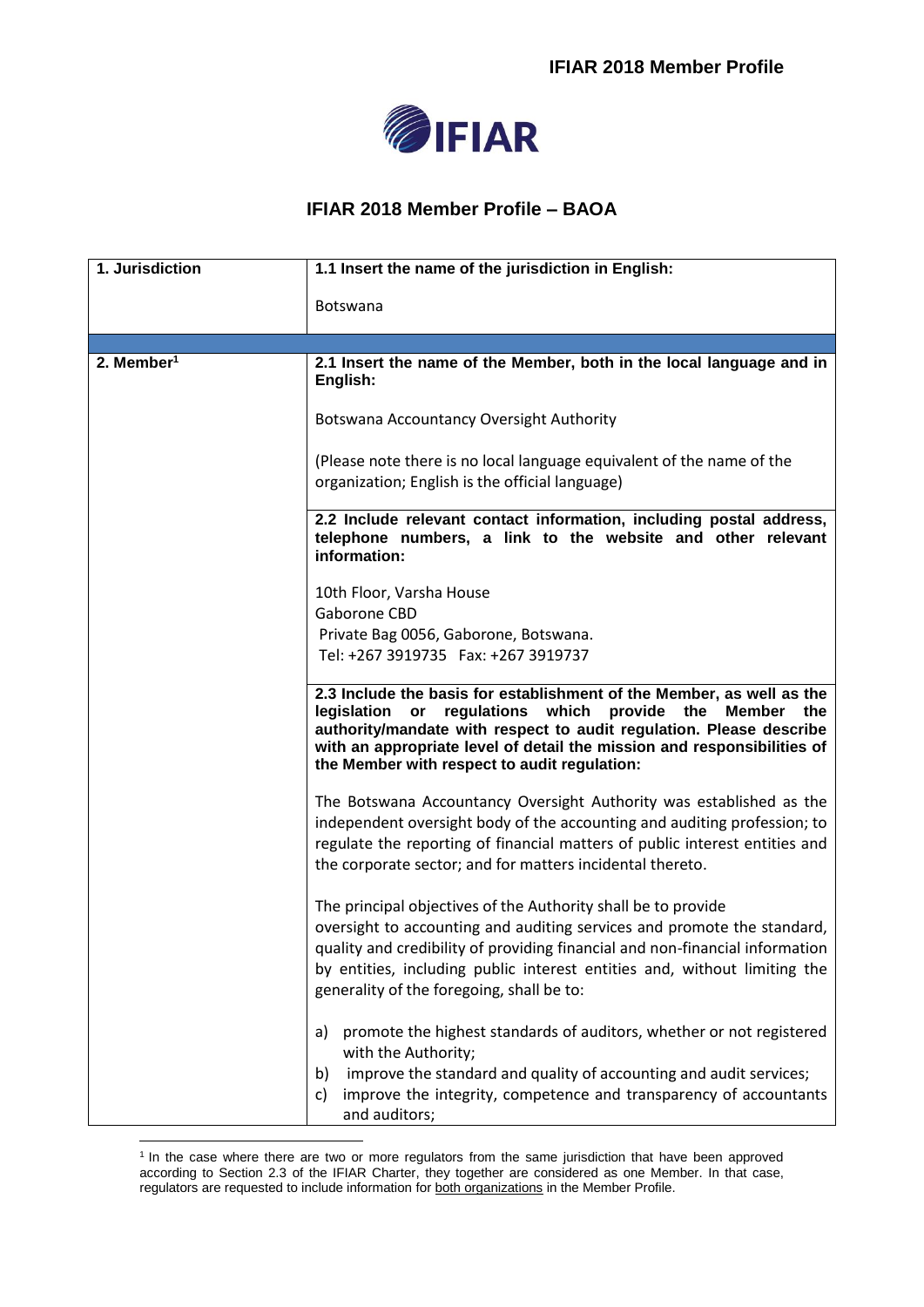

## **IFIAR 2018 Member Profile – BAOA**

| 1. Jurisdiction          | 1.1 Insert the name of the jurisdiction in English:                                                                                                                                                                                                                                                                                                |
|--------------------------|----------------------------------------------------------------------------------------------------------------------------------------------------------------------------------------------------------------------------------------------------------------------------------------------------------------------------------------------------|
|                          | <b>Botswana</b>                                                                                                                                                                                                                                                                                                                                    |
|                          |                                                                                                                                                                                                                                                                                                                                                    |
| $2.$ Member <sup>1</sup> | 2.1 Insert the name of the Member, both in the local language and in<br>English:                                                                                                                                                                                                                                                                   |
|                          | Botswana Accountancy Oversight Authority                                                                                                                                                                                                                                                                                                           |
|                          | (Please note there is no local language equivalent of the name of the<br>organization; English is the official language)                                                                                                                                                                                                                           |
|                          | 2.2 Include relevant contact information, including postal address,<br>telephone numbers, a link to the website and other relevant<br>information:                                                                                                                                                                                                 |
|                          | 10th Floor, Varsha House                                                                                                                                                                                                                                                                                                                           |
|                          | Gaborone CBD                                                                                                                                                                                                                                                                                                                                       |
|                          | Private Bag 0056, Gaborone, Botswana.                                                                                                                                                                                                                                                                                                              |
|                          | Tel: +267 3919735  Fax: +267 3919737                                                                                                                                                                                                                                                                                                               |
|                          | 2.3 Include the basis for establishment of the Member, as well as the<br>regulations which provide the Member the<br>legislation or<br>authority/mandate with respect to audit regulation. Please describe<br>with an appropriate level of detail the mission and responsibilities of<br>the Member with respect to audit regulation:              |
|                          | The Botswana Accountancy Oversight Authority was established as the<br>independent oversight body of the accounting and auditing profession; to<br>regulate the reporting of financial matters of public interest entities and<br>the corporate sector; and for matters incidental thereto.                                                        |
|                          | The principal objectives of the Authority shall be to provide<br>oversight to accounting and auditing services and promote the standard,<br>quality and credibility of providing financial and non-financial information<br>by entities, including public interest entities and, without limiting the<br>generality of the foregoing, shall be to: |
|                          | promote the highest standards of auditors, whether or not registered<br>a)<br>with the Authority;<br>improve the standard and quality of accounting and audit services;<br>b)<br>improve the integrity, competence and transparency of accountants<br>c)<br>and auditors;                                                                          |

 1 In the case where there are two or more regulators from the same jurisdiction that have been approved according to Section 2.3 of the IFIAR Charter, they together are considered as one Member. In that case, regulators are requested to include information for both organizations in the Member Profile.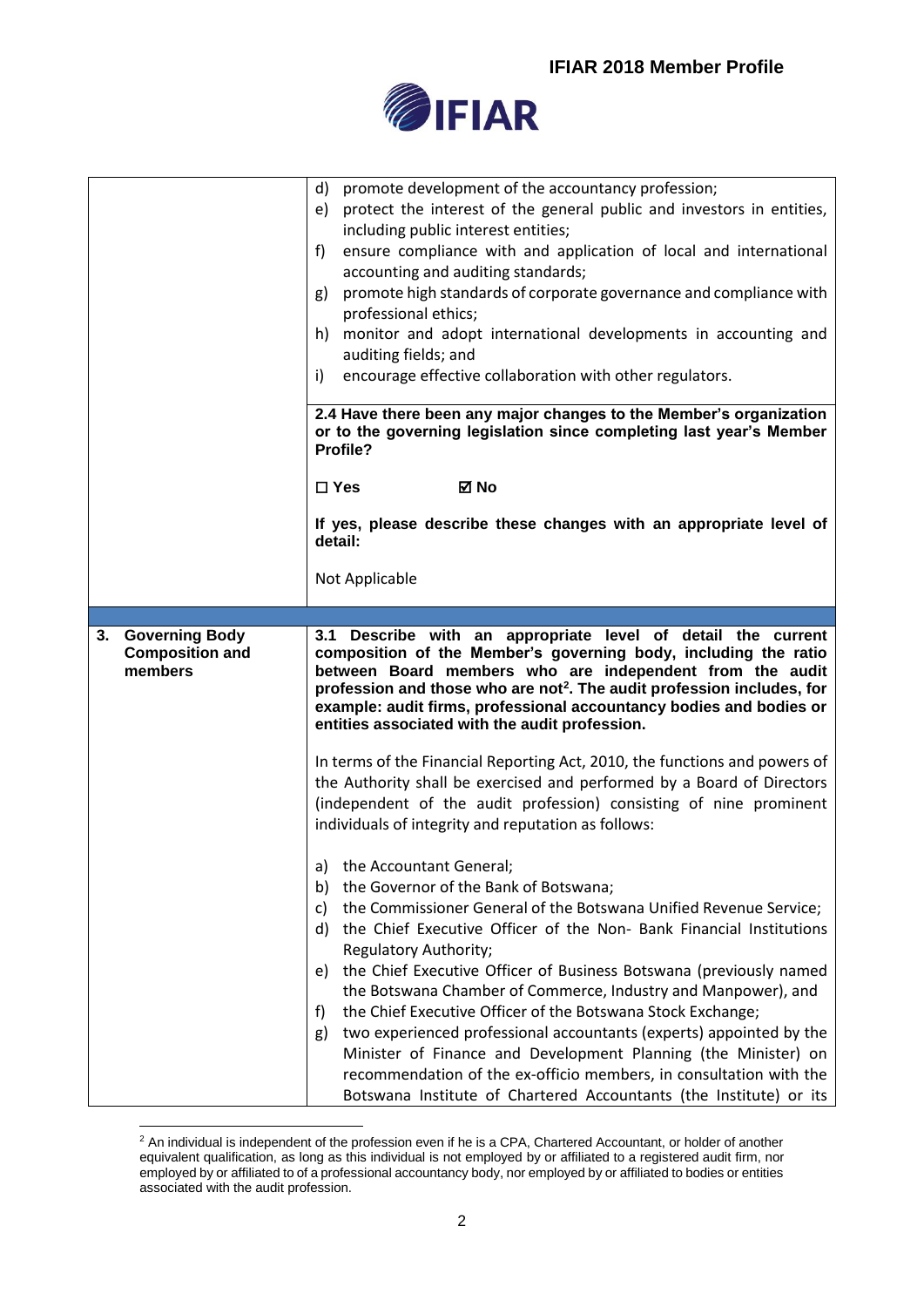

|                                                        | promote development of the accountancy profession;<br>d)<br>protect the interest of the general public and investors in entities,<br>e)<br>including public interest entities;<br>ensure compliance with and application of local and international<br>f)<br>accounting and auditing standards;<br>promote high standards of corporate governance and compliance with<br>g)<br>professional ethics;<br>monitor and adopt international developments in accounting and<br>h)<br>auditing fields; and<br>encourage effective collaboration with other regulators.<br>i)                                                                                                                                                                                                   |
|--------------------------------------------------------|-------------------------------------------------------------------------------------------------------------------------------------------------------------------------------------------------------------------------------------------------------------------------------------------------------------------------------------------------------------------------------------------------------------------------------------------------------------------------------------------------------------------------------------------------------------------------------------------------------------------------------------------------------------------------------------------------------------------------------------------------------------------------|
|                                                        | 2.4 Have there been any major changes to the Member's organization<br>or to the governing legislation since completing last year's Member<br>Profile?                                                                                                                                                                                                                                                                                                                                                                                                                                                                                                                                                                                                                   |
|                                                        | ⊠ No<br>$\Box$ Yes                                                                                                                                                                                                                                                                                                                                                                                                                                                                                                                                                                                                                                                                                                                                                      |
|                                                        | If yes, please describe these changes with an appropriate level of<br>detail:                                                                                                                                                                                                                                                                                                                                                                                                                                                                                                                                                                                                                                                                                           |
|                                                        | Not Applicable                                                                                                                                                                                                                                                                                                                                                                                                                                                                                                                                                                                                                                                                                                                                                          |
|                                                        |                                                                                                                                                                                                                                                                                                                                                                                                                                                                                                                                                                                                                                                                                                                                                                         |
| 3. Governing Body<br><b>Composition and</b><br>members | 3.1 Describe with an appropriate level of detail the current<br>composition of the Member's governing body, including the ratio<br>between Board members who are independent from the audit<br>profession and those who are not <sup>2</sup> . The audit profession includes, for<br>example: audit firms, professional accountancy bodies and bodies or<br>entities associated with the audit profession.                                                                                                                                                                                                                                                                                                                                                              |
|                                                        | In terms of the Financial Reporting Act, 2010, the functions and powers of<br>the Authority shall be exercised and performed by a Board of Directors<br>(independent of the audit profession) consisting of nine prominent<br>individuals of integrity and reputation as follows:                                                                                                                                                                                                                                                                                                                                                                                                                                                                                       |
|                                                        | a) the Accountant General;<br>the Governor of the Bank of Botswana;<br>b)<br>the Commissioner General of the Botswana Unified Revenue Service;<br>C)<br>the Chief Executive Officer of the Non- Bank Financial Institutions<br>d)<br>Regulatory Authority;<br>the Chief Executive Officer of Business Botswana (previously named<br>e)<br>the Botswana Chamber of Commerce, Industry and Manpower), and<br>the Chief Executive Officer of the Botswana Stock Exchange;<br>f)<br>two experienced professional accountants (experts) appointed by the<br>g)<br>Minister of Finance and Development Planning (the Minister) on<br>recommendation of the ex-officio members, in consultation with the<br>Botswana Institute of Chartered Accountants (the Institute) or its |

<sup>&</sup>lt;u>.</u>  $2$  An individual is independent of the profession even if he is a CPA, Chartered Accountant, or holder of another equivalent qualification, as long as this individual is not employed by or affiliated to a registered audit firm, nor employed by or affiliated to of a professional accountancy body, nor employed by or affiliated to bodies or entities associated with the audit profession.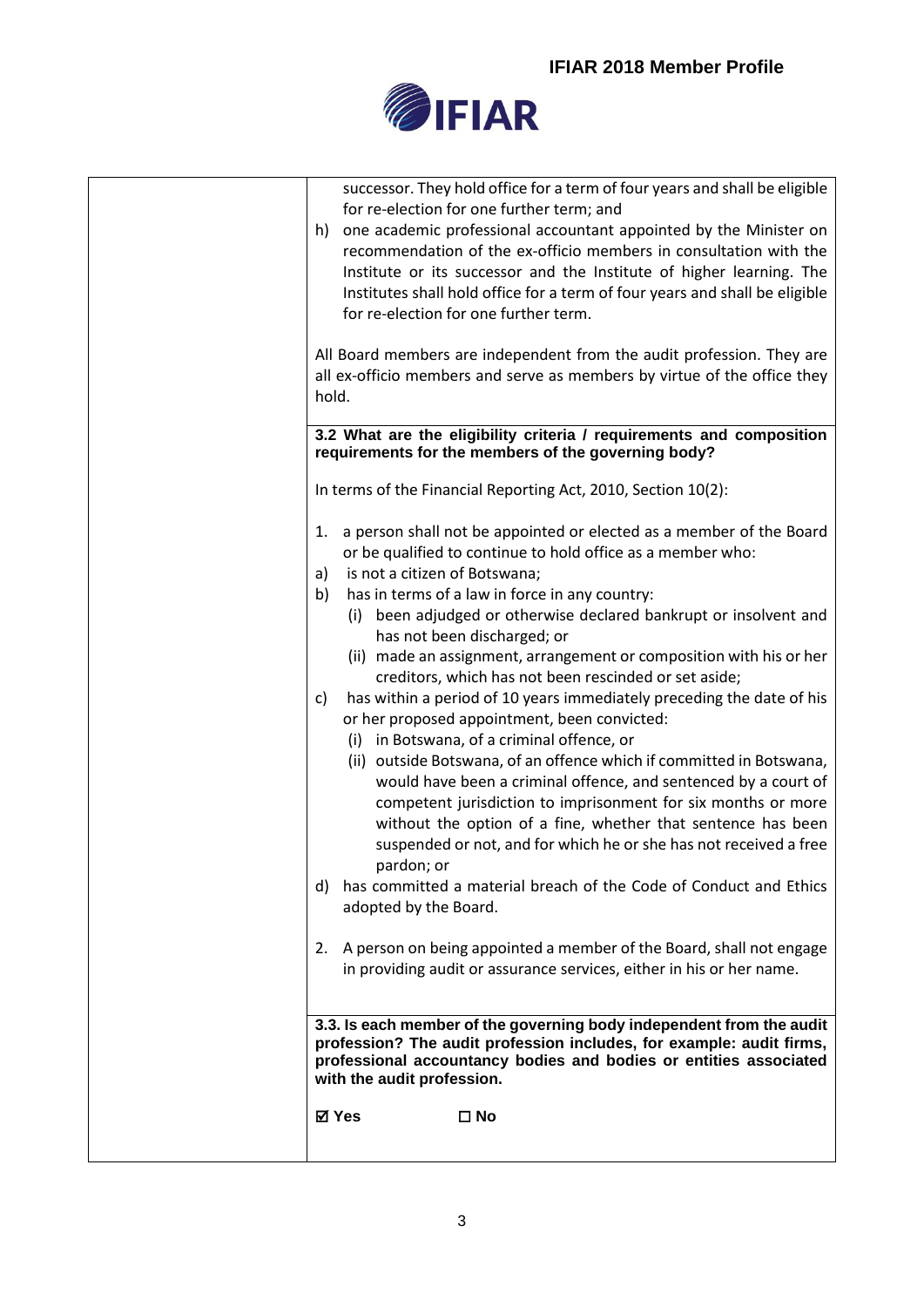

| successor. They hold office for a term of four years and shall be eligible                                                           |
|--------------------------------------------------------------------------------------------------------------------------------------|
| for re-election for one further term; and<br>one academic professional accountant appointed by the Minister on<br>h)                 |
| recommendation of the ex-officio members in consultation with the                                                                    |
| Institute or its successor and the Institute of higher learning. The                                                                 |
| Institutes shall hold office for a term of four years and shall be eligible                                                          |
| for re-election for one further term.                                                                                                |
| All Board members are independent from the audit profession. They are                                                                |
| all ex-officio members and serve as members by virtue of the office they                                                             |
| hold.                                                                                                                                |
|                                                                                                                                      |
| 3.2 What are the eligibility criteria / requirements and composition<br>requirements for the members of the governing body?          |
| In terms of the Financial Reporting Act, 2010, Section 10(2):                                                                        |
| a person shall not be appointed or elected as a member of the Board<br>1.                                                            |
| or be qualified to continue to hold office as a member who:                                                                          |
| is not a citizen of Botswana;<br>a)                                                                                                  |
| has in terms of a law in force in any country:<br>b)                                                                                 |
| (i) been adjudged or otherwise declared bankrupt or insolvent and                                                                    |
| has not been discharged; or                                                                                                          |
| (ii) made an assignment, arrangement or composition with his or her                                                                  |
| creditors, which has not been rescinded or set aside;<br>has within a period of 10 years immediately preceding the date of his<br>c) |
| or her proposed appointment, been convicted:                                                                                         |
| (i) in Botswana, of a criminal offence, or                                                                                           |
| (ii) outside Botswana, of an offence which if committed in Botswana,                                                                 |
| would have been a criminal offence, and sentenced by a court of                                                                      |
| competent jurisdiction to imprisonment for six months or more                                                                        |
| without the option of a fine, whether that sentence has been                                                                         |
| suspended or not, and for which he or she has not received a free                                                                    |
| pardon; or                                                                                                                           |
| has committed a material breach of the Code of Conduct and Ethics<br>d)                                                              |
| adopted by the Board.                                                                                                                |
| 2. A person on being appointed a member of the Board, shall not engage                                                               |
| in providing audit or assurance services, either in his or her name.                                                                 |
|                                                                                                                                      |
| 3.3. Is each member of the governing body independent from the audit                                                                 |
| profession? The audit profession includes, for example: audit firms,                                                                 |
| professional accountancy bodies and bodies or entities associated<br>with the audit profession.                                      |
| ⊠ Yes<br>$\square$ No                                                                                                                |
|                                                                                                                                      |
|                                                                                                                                      |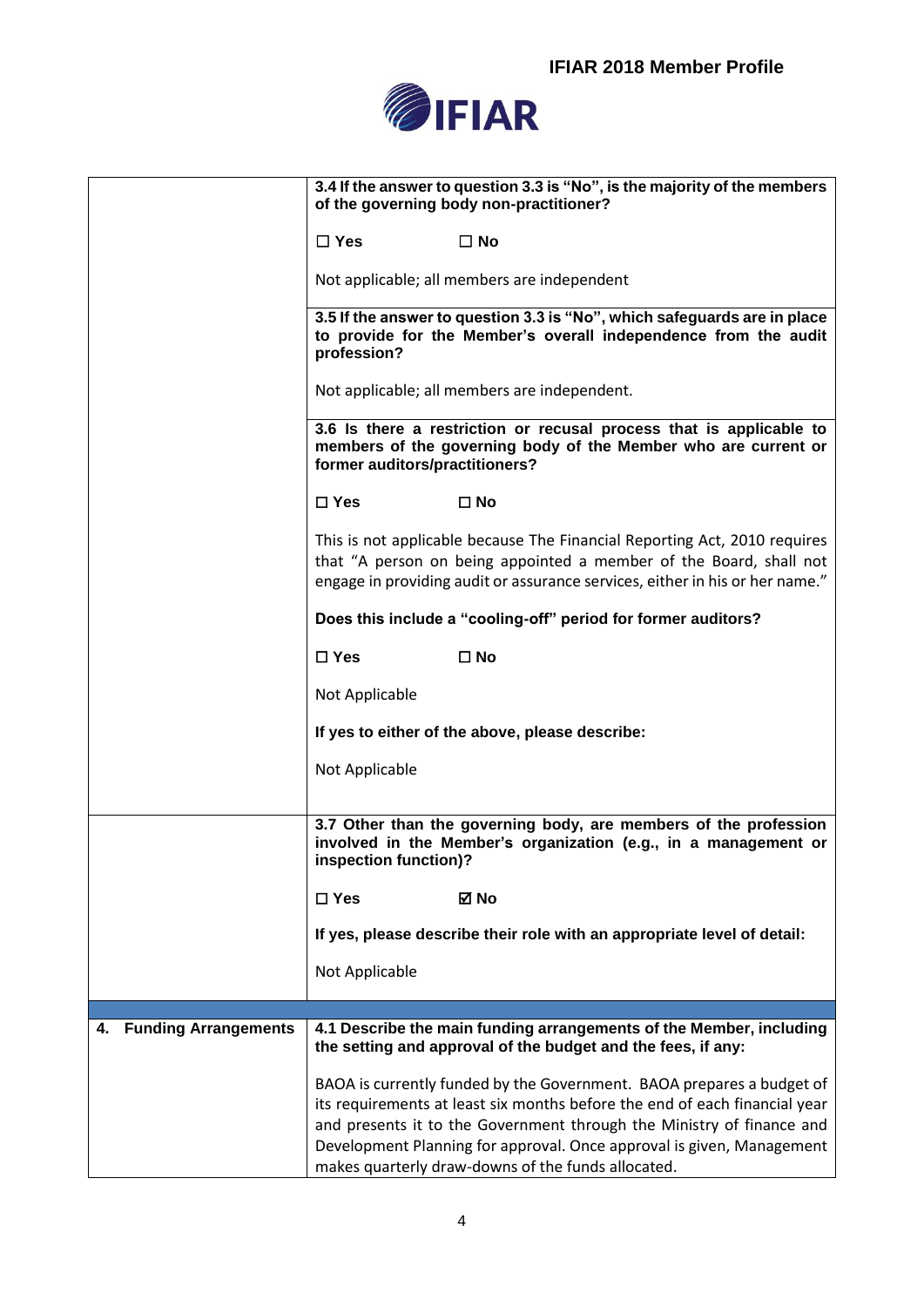

|                                   | 3.4 If the answer to question 3.3 is "No", is the majority of the members<br>of the governing body non-practitioner?                                                                                                            |
|-----------------------------------|---------------------------------------------------------------------------------------------------------------------------------------------------------------------------------------------------------------------------------|
|                                   | $\Box$ Yes<br>$\square$ No                                                                                                                                                                                                      |
|                                   | Not applicable; all members are independent                                                                                                                                                                                     |
|                                   | 3.5 If the answer to question 3.3 is "No", which safeguards are in place<br>to provide for the Member's overall independence from the audit<br>profession?                                                                      |
|                                   | Not applicable; all members are independent.                                                                                                                                                                                    |
|                                   | 3.6 Is there a restriction or recusal process that is applicable to<br>members of the governing body of the Member who are current or<br>former auditors/practitioners?                                                         |
|                                   | $\square$ Yes<br>$\square$ No                                                                                                                                                                                                   |
|                                   | This is not applicable because The Financial Reporting Act, 2010 requires<br>that "A person on being appointed a member of the Board, shall not<br>engage in providing audit or assurance services, either in his or her name." |
|                                   | Does this include a "cooling-off" period for former auditors?                                                                                                                                                                   |
|                                   | $\square$ Yes<br>$\square$ No                                                                                                                                                                                                   |
|                                   | Not Applicable                                                                                                                                                                                                                  |
|                                   | If yes to either of the above, please describe:                                                                                                                                                                                 |
|                                   | Not Applicable                                                                                                                                                                                                                  |
|                                   | 3.7 Other than the governing body, are members of the profession<br>involved in the Member's organization (e.g., in a management or<br>inspection function)?                                                                    |
|                                   | $\square$ Yes<br>⊠ No                                                                                                                                                                                                           |
|                                   | If yes, please describe their role with an appropriate level of detail:                                                                                                                                                         |
|                                   | Not Applicable                                                                                                                                                                                                                  |
|                                   |                                                                                                                                                                                                                                 |
| <b>Funding Arrangements</b><br>4. | 4.1 Describe the main funding arrangements of the Member, including<br>the setting and approval of the budget and the fees, if any:                                                                                             |
|                                   | BAOA is currently funded by the Government. BAOA prepares a budget of                                                                                                                                                           |
|                                   | its requirements at least six months before the end of each financial year                                                                                                                                                      |
|                                   | and presents it to the Government through the Ministry of finance and                                                                                                                                                           |
|                                   | Development Planning for approval. Once approval is given, Management<br>makes quarterly draw-downs of the funds allocated.                                                                                                     |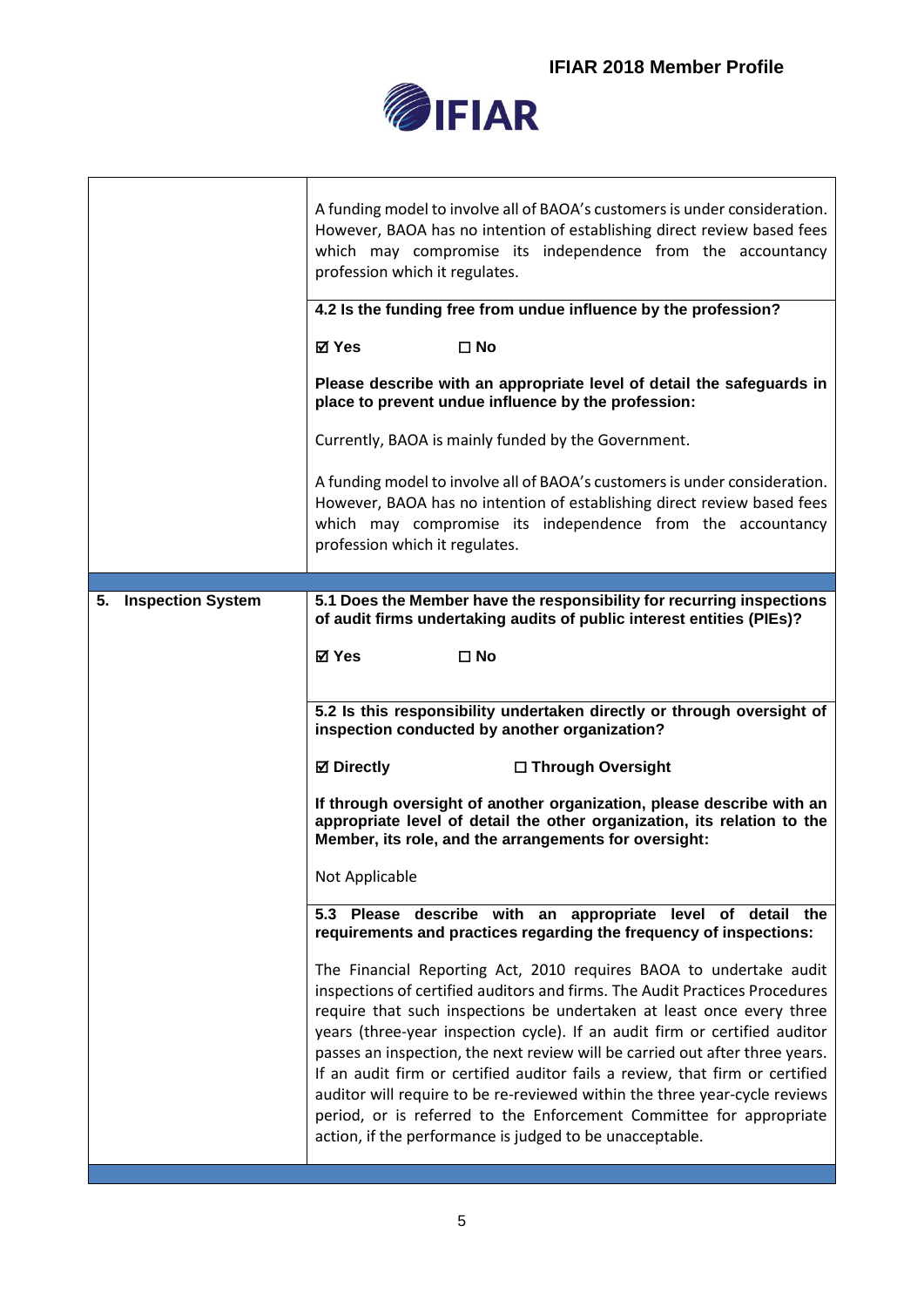

|                                | A funding model to involve all of BAOA's customers is under consideration.<br>However, BAOA has no intention of establishing direct review based fees<br>which may compromise its independence from the accountancy<br>profession which it regulates.<br>4.2 Is the funding free from undue influence by the profession?<br><b>⊠</b> Yes<br>$\square$ No<br>Please describe with an appropriate level of detail the safeguards in<br>place to prevent undue influence by the profession:                                                                                                                                                                                                  |
|--------------------------------|-------------------------------------------------------------------------------------------------------------------------------------------------------------------------------------------------------------------------------------------------------------------------------------------------------------------------------------------------------------------------------------------------------------------------------------------------------------------------------------------------------------------------------------------------------------------------------------------------------------------------------------------------------------------------------------------|
|                                | Currently, BAOA is mainly funded by the Government.<br>A funding model to involve all of BAOA's customers is under consideration.<br>However, BAOA has no intention of establishing direct review based fees<br>which may compromise its independence from the accountancy<br>profession which it regulates.                                                                                                                                                                                                                                                                                                                                                                              |
| <b>Inspection System</b><br>5. | 5.1 Does the Member have the responsibility for recurring inspections                                                                                                                                                                                                                                                                                                                                                                                                                                                                                                                                                                                                                     |
|                                | of audit firms undertaking audits of public interest entities (PIEs)?                                                                                                                                                                                                                                                                                                                                                                                                                                                                                                                                                                                                                     |
|                                | ⊠ Yes<br>$\square$ No                                                                                                                                                                                                                                                                                                                                                                                                                                                                                                                                                                                                                                                                     |
|                                |                                                                                                                                                                                                                                                                                                                                                                                                                                                                                                                                                                                                                                                                                           |
|                                | 5.2 Is this responsibility undertaken directly or through oversight of<br>inspection conducted by another organization?                                                                                                                                                                                                                                                                                                                                                                                                                                                                                                                                                                   |
|                                | <b>⊠</b> Directly<br>□ Through Oversight                                                                                                                                                                                                                                                                                                                                                                                                                                                                                                                                                                                                                                                  |
|                                | If through oversight of another organization, please describe with an<br>appropriate level of detail the other organization, its relation to the<br>Member, its role, and the arrangements for oversight:                                                                                                                                                                                                                                                                                                                                                                                                                                                                                 |
|                                | Not Applicable                                                                                                                                                                                                                                                                                                                                                                                                                                                                                                                                                                                                                                                                            |
|                                | 5.3 Please describe with an appropriate level of detail the<br>requirements and practices regarding the frequency of inspections:                                                                                                                                                                                                                                                                                                                                                                                                                                                                                                                                                         |
|                                | The Financial Reporting Act, 2010 requires BAOA to undertake audit<br>inspections of certified auditors and firms. The Audit Practices Procedures<br>require that such inspections be undertaken at least once every three<br>years (three-year inspection cycle). If an audit firm or certified auditor<br>passes an inspection, the next review will be carried out after three years.<br>If an audit firm or certified auditor fails a review, that firm or certified<br>auditor will require to be re-reviewed within the three year-cycle reviews<br>period, or is referred to the Enforcement Committee for appropriate<br>action, if the performance is judged to be unacceptable. |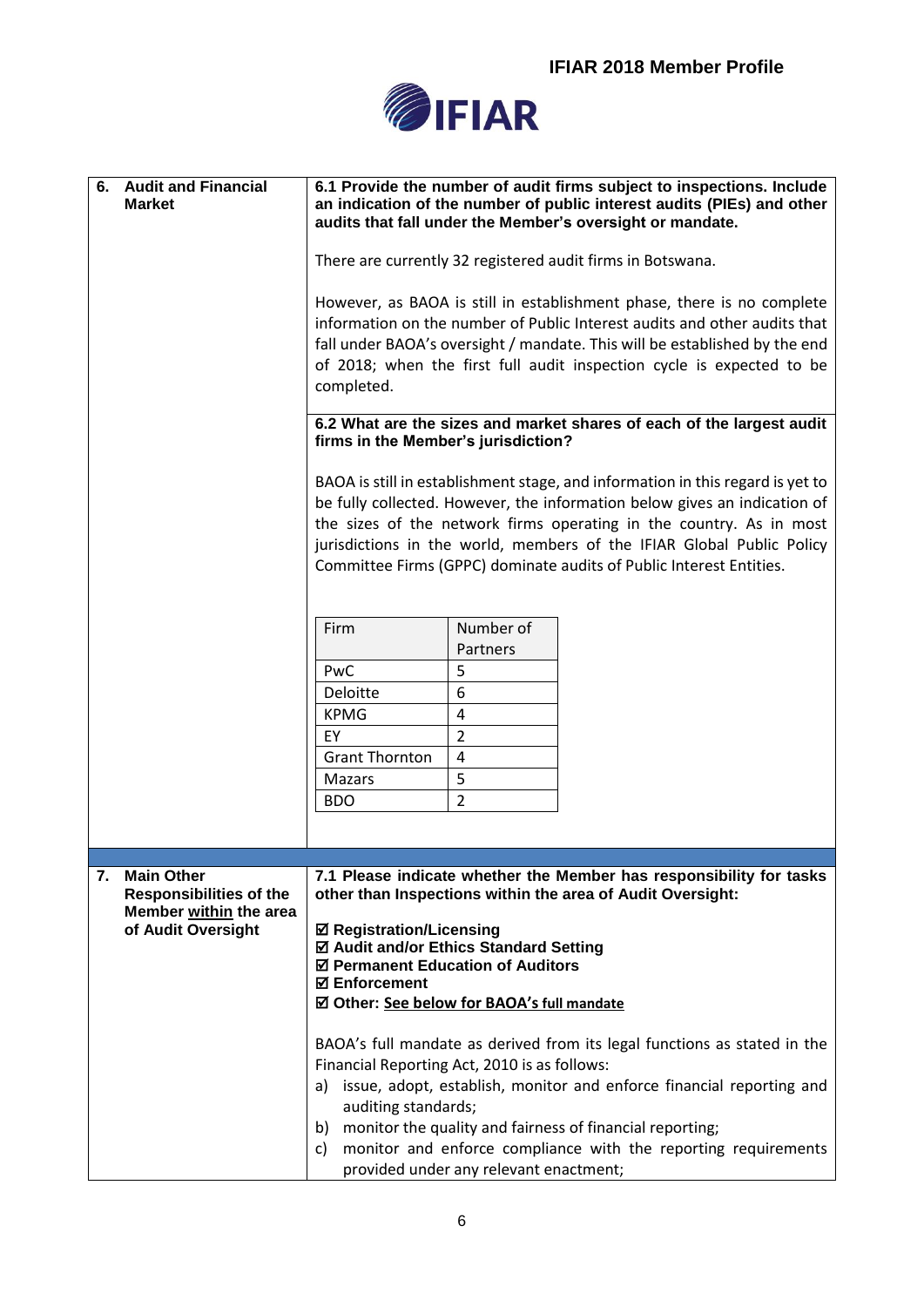

| <b>Audit and Financial</b><br>6.<br><b>Market</b>                                   | 6.1 Provide the number of audit firms subject to inspections. Include<br>an indication of the number of public interest audits (PIEs) and other<br>audits that fall under the Member's oversight or mandate.                                                                                                                                                                       |  |
|-------------------------------------------------------------------------------------|------------------------------------------------------------------------------------------------------------------------------------------------------------------------------------------------------------------------------------------------------------------------------------------------------------------------------------------------------------------------------------|--|
|                                                                                     | There are currently 32 registered audit firms in Botswana.                                                                                                                                                                                                                                                                                                                         |  |
|                                                                                     | However, as BAOA is still in establishment phase, there is no complete<br>information on the number of Public Interest audits and other audits that<br>fall under BAOA's oversight / mandate. This will be established by the end<br>of 2018; when the first full audit inspection cycle is expected to be<br>completed.                                                           |  |
|                                                                                     | 6.2 What are the sizes and market shares of each of the largest audit<br>firms in the Member's jurisdiction?                                                                                                                                                                                                                                                                       |  |
|                                                                                     | BAOA is still in establishment stage, and information in this regard is yet to<br>be fully collected. However, the information below gives an indication of<br>the sizes of the network firms operating in the country. As in most<br>jurisdictions in the world, members of the IFIAR Global Public Policy<br>Committee Firms (GPPC) dominate audits of Public Interest Entities. |  |
|                                                                                     | Number of<br>Firm<br>Partners<br>5<br>PwC<br>6<br>Deloitte                                                                                                                                                                                                                                                                                                                         |  |
|                                                                                     | <b>KPMG</b><br>4<br>$\overline{2}$<br>EY<br><b>Grant Thornton</b><br>$\sqrt{4}$                                                                                                                                                                                                                                                                                                    |  |
|                                                                                     | 5<br>Mazars<br>$\overline{2}$<br><b>BDO</b>                                                                                                                                                                                                                                                                                                                                        |  |
|                                                                                     |                                                                                                                                                                                                                                                                                                                                                                                    |  |
| 7.<br><b>Main Other</b><br><b>Responsibilities of the</b><br>Member within the area | 7.1 Please indicate whether the Member has responsibility for tasks<br>other than Inspections within the area of Audit Oversight:                                                                                                                                                                                                                                                  |  |
| of Audit Oversight                                                                  | <b>Ø Registration/Licensing</b><br>☑ Audit and/or Ethics Standard Setting<br>☑ Permanent Education of Auditors<br><b>☑ Enforcement</b><br>☑ Other: See below for BAOA's full mandate                                                                                                                                                                                               |  |
|                                                                                     | BAOA's full mandate as derived from its legal functions as stated in the<br>Financial Reporting Act, 2010 is as follows:<br>issue, adopt, establish, monitor and enforce financial reporting and<br>a)<br>auditing standards;<br>monitor the quality and fairness of financial reporting;<br>b)                                                                                    |  |
|                                                                                     | monitor and enforce compliance with the reporting requirements<br>C)<br>provided under any relevant enactment;                                                                                                                                                                                                                                                                     |  |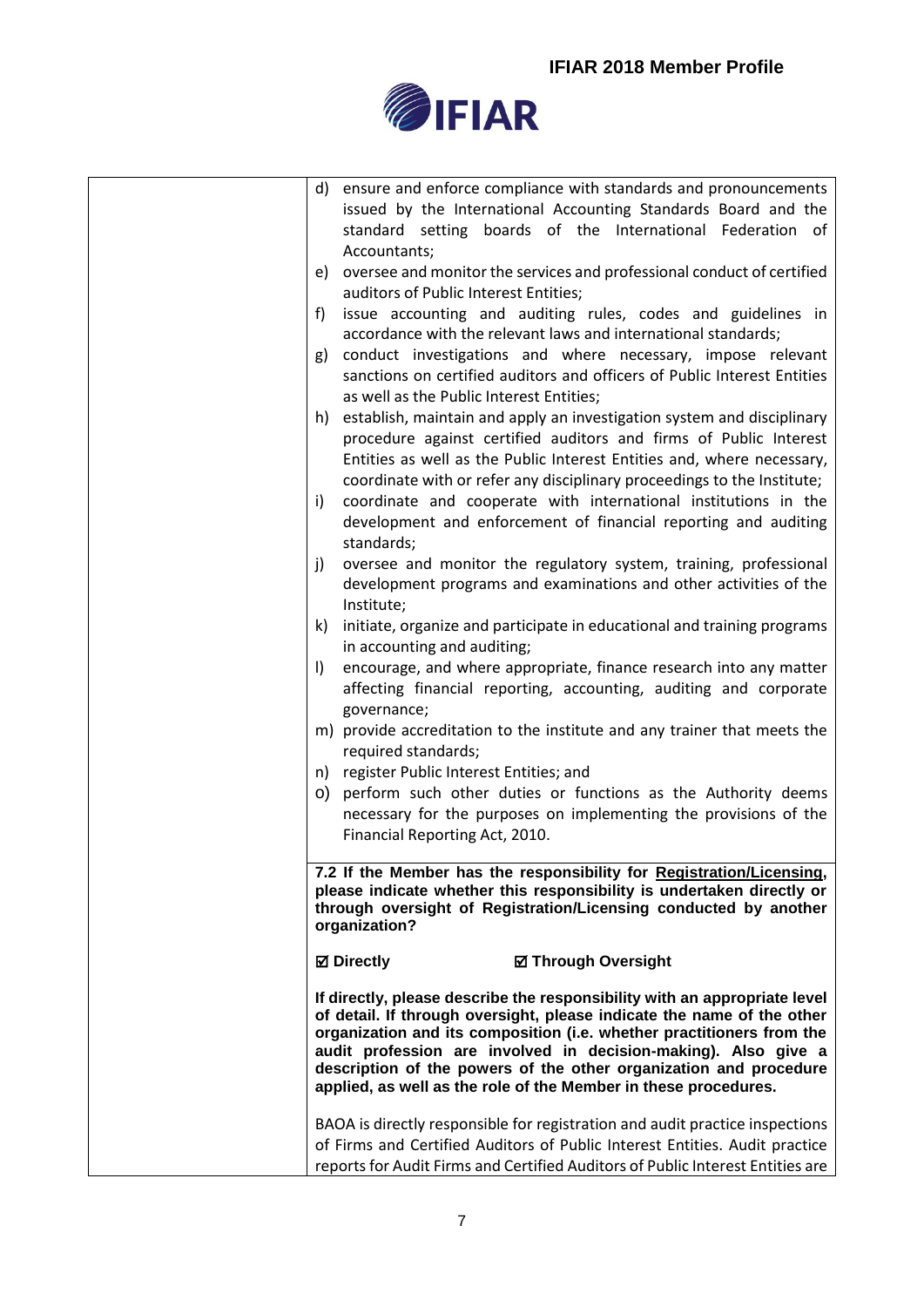

| d) ensure and enforce compliance with standards and pronouncements                                                                   |
|--------------------------------------------------------------------------------------------------------------------------------------|
| issued by the International Accounting Standards Board and the                                                                       |
| standard setting boards of the International Federation of                                                                           |
| Accountants;                                                                                                                         |
| e) oversee and monitor the services and professional conduct of certified                                                            |
| auditors of Public Interest Entities;                                                                                                |
| issue accounting and auditing rules, codes and guidelines in<br>f)                                                                   |
| accordance with the relevant laws and international standards;                                                                       |
| conduct investigations and where necessary, impose relevant<br>g)                                                                    |
| sanctions on certified auditors and officers of Public Interest Entities                                                             |
| as well as the Public Interest Entities;                                                                                             |
| h) establish, maintain and apply an investigation system and disciplinary                                                            |
| procedure against certified auditors and firms of Public Interest                                                                    |
| Entities as well as the Public Interest Entities and, where necessary,                                                               |
| coordinate with or refer any disciplinary proceedings to the Institute;                                                              |
| coordinate and cooperate with international institutions in the<br>i)                                                                |
| development and enforcement of financial reporting and auditing<br>standards;                                                        |
| oversee and monitor the regulatory system, training, professional<br>j)                                                              |
| development programs and examinations and other activities of the                                                                    |
| Institute;                                                                                                                           |
| initiate, organize and participate in educational and training programs<br>k)                                                        |
| in accounting and auditing;                                                                                                          |
| encourage, and where appropriate, finance research into any matter<br>$\vert$                                                        |
| affecting financial reporting, accounting, auditing and corporate                                                                    |
| governance;                                                                                                                          |
| m) provide accreditation to the institute and any trainer that meets the                                                             |
| required standards;                                                                                                                  |
| n) register Public Interest Entities; and                                                                                            |
| o) perform such other duties or functions as the Authority deems                                                                     |
| necessary for the purposes on implementing the provisions of the                                                                     |
| Financial Reporting Act, 2010.                                                                                                       |
| 7.2 If the Member has the responsibility for Registration/Licensing,                                                                 |
| please indicate whether this responsibility is undertaken directly or                                                                |
| through oversight of Registration/Licensing conducted by another                                                                     |
| organization?                                                                                                                        |
| <b>⊠</b> Directly<br><b>Ø Through Oversight</b>                                                                                      |
| If directly, please describe the responsibility with an appropriate level                                                            |
| of detail. If through oversight, please indicate the name of the other                                                               |
| organization and its composition (i.e. whether practitioners from the                                                                |
| audit profession are involved in decision-making). Also give a                                                                       |
| description of the powers of the other organization and procedure<br>applied, as well as the role of the Member in these procedures. |
|                                                                                                                                      |
| BAOA is directly responsible for registration and audit practice inspections                                                         |
| of Firms and Certified Auditors of Public Interest Entities. Audit practice                                                          |
| reports for Audit Firms and Certified Auditors of Public Interest Entities are                                                       |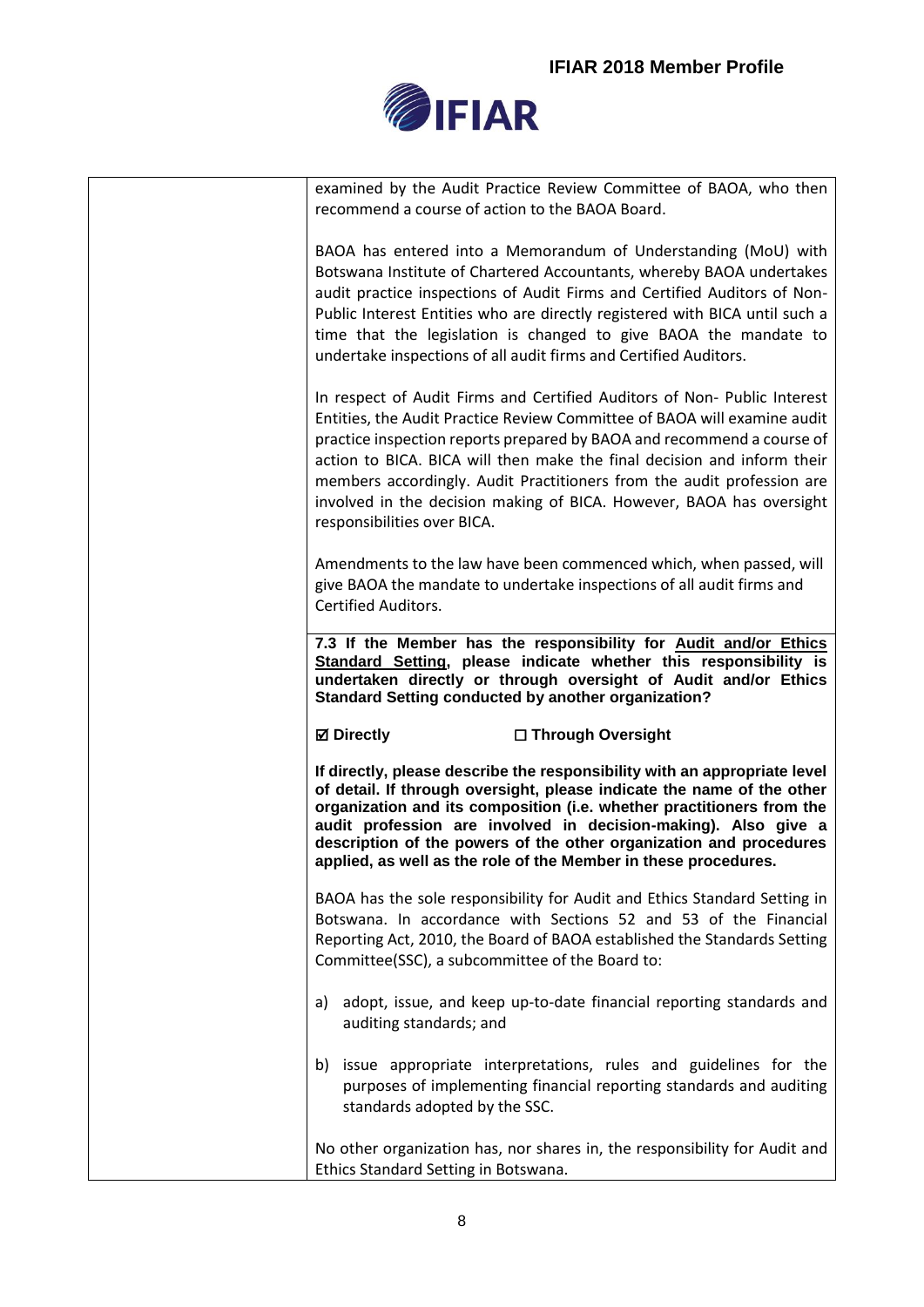

|    | examined by the Audit Practice Review Committee of BAOA, who then<br>recommend a course of action to the BAOA Board.                                                                                                                                                                                                                                                                                                                                                                       |
|----|--------------------------------------------------------------------------------------------------------------------------------------------------------------------------------------------------------------------------------------------------------------------------------------------------------------------------------------------------------------------------------------------------------------------------------------------------------------------------------------------|
|    | BAOA has entered into a Memorandum of Understanding (MoU) with<br>Botswana Institute of Chartered Accountants, whereby BAOA undertakes<br>audit practice inspections of Audit Firms and Certified Auditors of Non-<br>Public Interest Entities who are directly registered with BICA until such a<br>time that the legislation is changed to give BAOA the mandate to<br>undertake inspections of all audit firms and Certified Auditors.                                                  |
|    | In respect of Audit Firms and Certified Auditors of Non- Public Interest<br>Entities, the Audit Practice Review Committee of BAOA will examine audit<br>practice inspection reports prepared by BAOA and recommend a course of<br>action to BICA. BICA will then make the final decision and inform their<br>members accordingly. Audit Practitioners from the audit profession are<br>involved in the decision making of BICA. However, BAOA has oversight<br>responsibilities over BICA. |
|    | Amendments to the law have been commenced which, when passed, will<br>give BAOA the mandate to undertake inspections of all audit firms and<br><b>Certified Auditors.</b>                                                                                                                                                                                                                                                                                                                  |
|    | 7.3 If the Member has the responsibility for Audit and/or Ethics<br>Standard Setting, please indicate whether this responsibility is<br>undertaken directly or through oversight of Audit and/or Ethics                                                                                                                                                                                                                                                                                    |
|    | <b>Standard Setting conducted by another organization?</b>                                                                                                                                                                                                                                                                                                                                                                                                                                 |
|    | <b>⊠</b> Directly<br>□ Through Oversight                                                                                                                                                                                                                                                                                                                                                                                                                                                   |
|    | If directly, please describe the responsibility with an appropriate level<br>of detail. If through oversight, please indicate the name of the other<br>organization and its composition (i.e. whether practitioners from the<br>audit profession are involved in decision-making). Also give a<br>description of the powers of the other organization and procedures<br>applied, as well as the role of the Member in these procedures.                                                    |
|    | BAOA has the sole responsibility for Audit and Ethics Standard Setting in<br>Botswana. In accordance with Sections 52 and 53 of the Financial<br>Reporting Act, 2010, the Board of BAOA established the Standards Setting<br>Committee(SSC), a subcommittee of the Board to:                                                                                                                                                                                                               |
| a) | adopt, issue, and keep up-to-date financial reporting standards and<br>auditing standards; and                                                                                                                                                                                                                                                                                                                                                                                             |
|    | b) issue appropriate interpretations, rules and guidelines for the<br>purposes of implementing financial reporting standards and auditing<br>standards adopted by the SSC.                                                                                                                                                                                                                                                                                                                 |

No other organization has, nor shares in, the responsibility for Audit and Ethics Standard Setting in Botswana.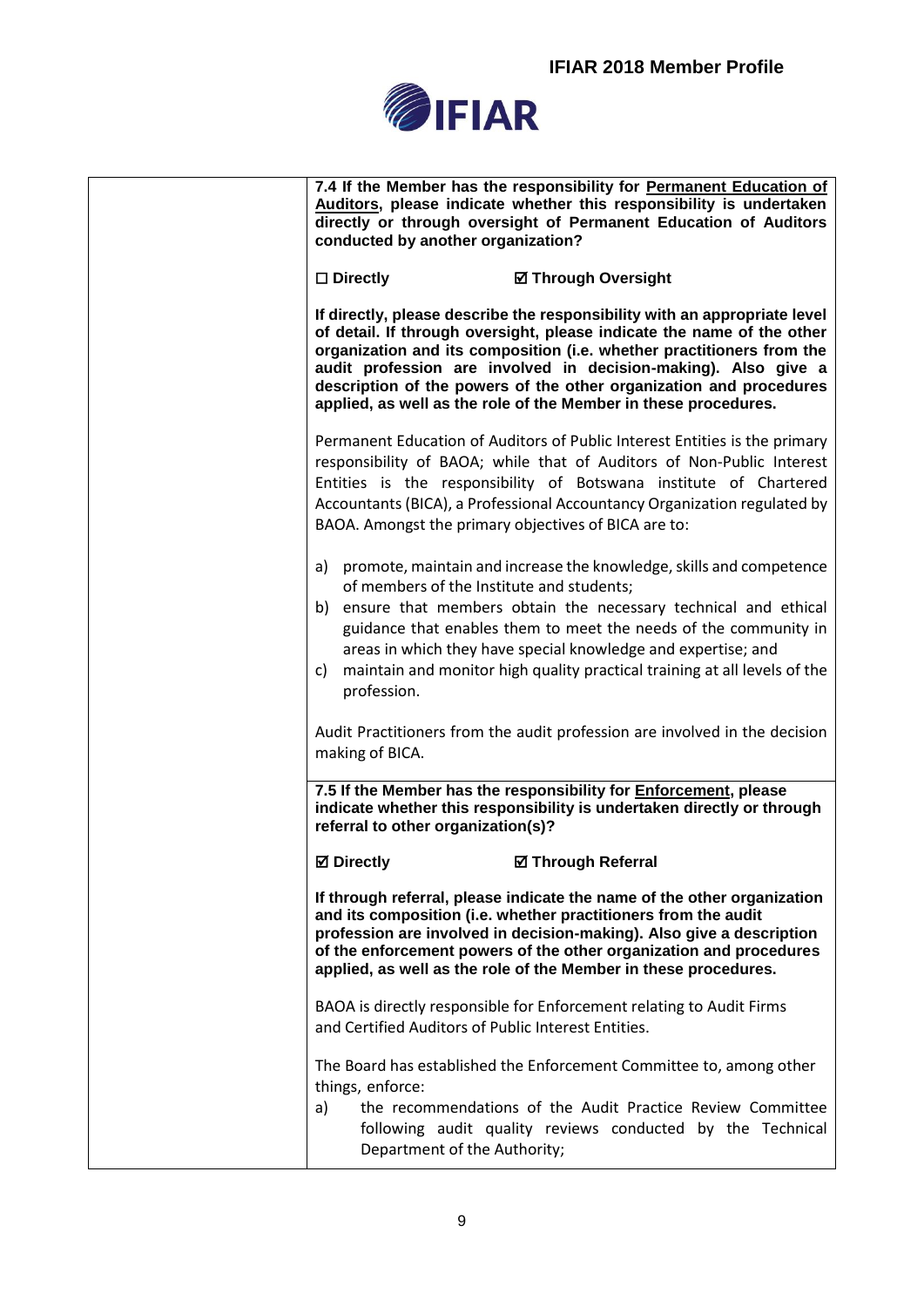

| conducted by another organization?                             | 7.4 If the Member has the responsibility for Permanent Education of<br>Auditors, please indicate whether this responsibility is undertaken<br>directly or through oversight of Permanent Education of Auditors                                                                                                                                                                                                                          |
|----------------------------------------------------------------|-----------------------------------------------------------------------------------------------------------------------------------------------------------------------------------------------------------------------------------------------------------------------------------------------------------------------------------------------------------------------------------------------------------------------------------------|
| $\square$ Directly                                             | <b>Ø Through Oversight</b>                                                                                                                                                                                                                                                                                                                                                                                                              |
|                                                                | If directly, please describe the responsibility with an appropriate level<br>of detail. If through oversight, please indicate the name of the other<br>organization and its composition (i.e. whether practitioners from the<br>audit profession are involved in decision-making). Also give a<br>description of the powers of the other organization and procedures<br>applied, as well as the role of the Member in these procedures. |
| BAOA. Amongst the primary objectives of BICA are to:           | Permanent Education of Auditors of Public Interest Entities is the primary<br>responsibility of BAOA; while that of Auditors of Non-Public Interest<br>Entities is the responsibility of Botswana institute of Chartered<br>Accountants (BICA), a Professional Accountancy Organization regulated by                                                                                                                                    |
| of members of the Institute and students;<br>C)<br>profession. | a) promote, maintain and increase the knowledge, skills and competence<br>b) ensure that members obtain the necessary technical and ethical<br>guidance that enables them to meet the needs of the community in<br>areas in which they have special knowledge and expertise; and<br>maintain and monitor high quality practical training at all levels of the                                                                           |
| making of BICA.                                                | Audit Practitioners from the audit profession are involved in the decision                                                                                                                                                                                                                                                                                                                                                              |
| referral to other organization(s)?                             | 7.5 If the Member has the responsibility for <b>Enforcement</b> , please<br>indicate whether this responsibility is undertaken directly or through                                                                                                                                                                                                                                                                                      |
| <b>⊠</b> Directly                                              | <b>Ø Through Referral</b>                                                                                                                                                                                                                                                                                                                                                                                                               |
|                                                                | If through referral, please indicate the name of the other organization<br>and its composition (i.e. whether practitioners from the audit<br>profession are involved in decision-making). Also give a description<br>of the enforcement powers of the other organization and procedures<br>applied, as well as the role of the Member in these procedures.                                                                              |
| and Certified Auditors of Public Interest Entities.            | BAOA is directly responsible for Enforcement relating to Audit Firms                                                                                                                                                                                                                                                                                                                                                                    |
| things, enforce:<br>a)<br>Department of the Authority;         | The Board has established the Enforcement Committee to, among other<br>the recommendations of the Audit Practice Review Committee<br>following audit quality reviews conducted by the Technical                                                                                                                                                                                                                                         |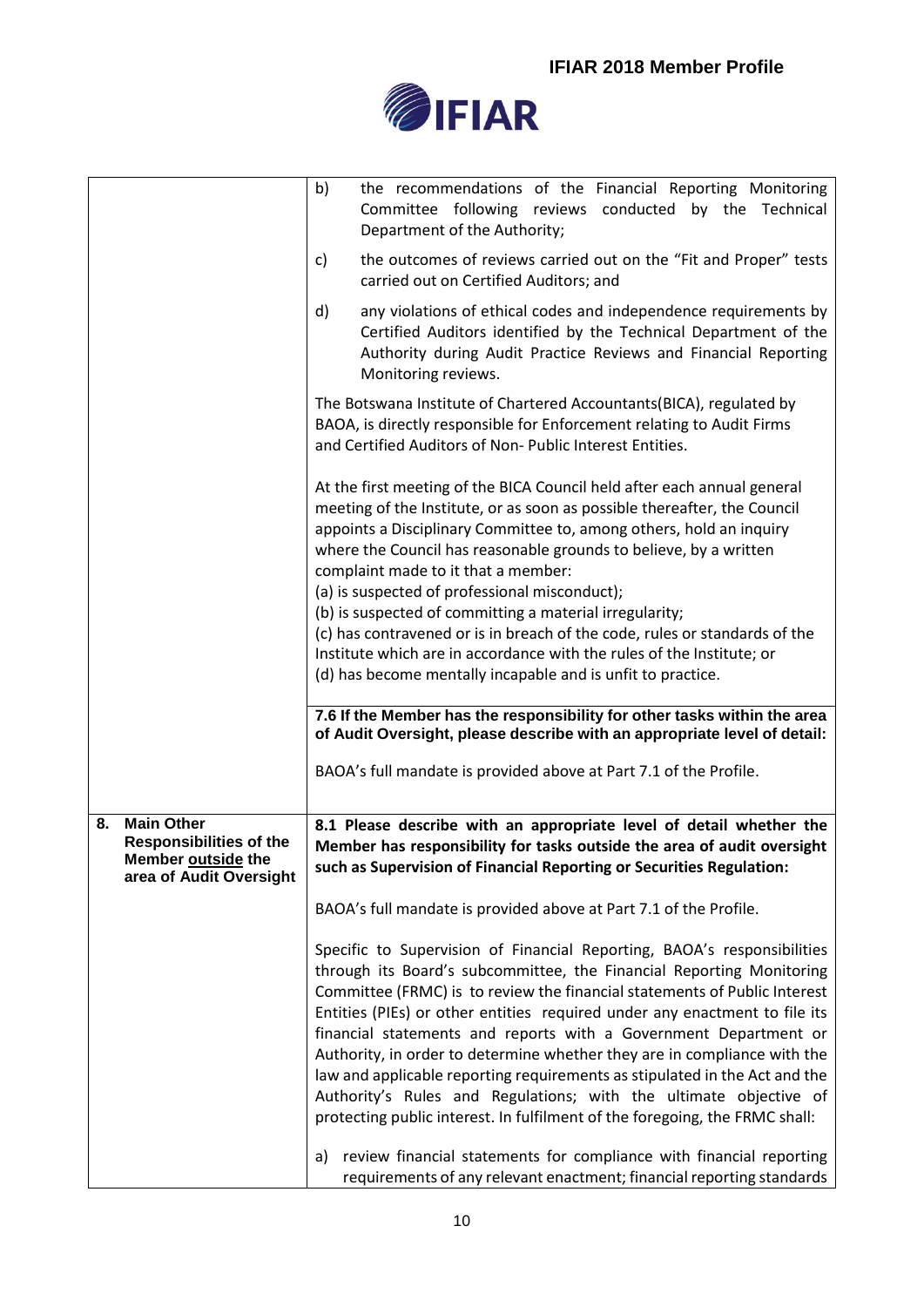

|    |                                                                                                      | b)<br>the recommendations of the Financial Reporting Monitoring<br>Committee following reviews conducted by the Technical<br>Department of the Authority;                                                                                                                                                                                                                                                                                                                                                                                                                                                                                                                                    |  |
|----|------------------------------------------------------------------------------------------------------|----------------------------------------------------------------------------------------------------------------------------------------------------------------------------------------------------------------------------------------------------------------------------------------------------------------------------------------------------------------------------------------------------------------------------------------------------------------------------------------------------------------------------------------------------------------------------------------------------------------------------------------------------------------------------------------------|--|
|    |                                                                                                      | the outcomes of reviews carried out on the "Fit and Proper" tests<br>c)<br>carried out on Certified Auditors; and                                                                                                                                                                                                                                                                                                                                                                                                                                                                                                                                                                            |  |
|    |                                                                                                      | d)<br>any violations of ethical codes and independence requirements by<br>Certified Auditors identified by the Technical Department of the<br>Authority during Audit Practice Reviews and Financial Reporting<br>Monitoring reviews.                                                                                                                                                                                                                                                                                                                                                                                                                                                         |  |
|    |                                                                                                      | The Botswana Institute of Chartered Accountants (BICA), regulated by<br>BAOA, is directly responsible for Enforcement relating to Audit Firms<br>and Certified Auditors of Non- Public Interest Entities.                                                                                                                                                                                                                                                                                                                                                                                                                                                                                    |  |
|    |                                                                                                      | At the first meeting of the BICA Council held after each annual general<br>meeting of the Institute, or as soon as possible thereafter, the Council<br>appoints a Disciplinary Committee to, among others, hold an inquiry<br>where the Council has reasonable grounds to believe, by a written<br>complaint made to it that a member:<br>(a) is suspected of professional misconduct);<br>(b) is suspected of committing a material irregularity;<br>(c) has contravened or is in breach of the code, rules or standards of the<br>Institute which are in accordance with the rules of the Institute; or<br>(d) has become mentally incapable and is unfit to practice.                     |  |
|    |                                                                                                      | 7.6 If the Member has the responsibility for other tasks within the area<br>of Audit Oversight, please describe with an appropriate level of detail:                                                                                                                                                                                                                                                                                                                                                                                                                                                                                                                                         |  |
|    |                                                                                                      | BAOA's full mandate is provided above at Part 7.1 of the Profile.                                                                                                                                                                                                                                                                                                                                                                                                                                                                                                                                                                                                                            |  |
| 8. | <b>Main Other</b><br><b>Responsibilities of the</b><br>Member outside the<br>area of Audit Oversight | 8.1 Please describe with an appropriate level of detail whether the<br>Member has responsibility for tasks outside the area of audit oversight<br>such as Supervision of Financial Reporting or Securities Regulation:                                                                                                                                                                                                                                                                                                                                                                                                                                                                       |  |
|    |                                                                                                      | BAOA's full mandate is provided above at Part 7.1 of the Profile.                                                                                                                                                                                                                                                                                                                                                                                                                                                                                                                                                                                                                            |  |
|    |                                                                                                      | Specific to Supervision of Financial Reporting, BAOA's responsibilities<br>through its Board's subcommittee, the Financial Reporting Monitoring<br>Committee (FRMC) is to review the financial statements of Public Interest<br>Entities (PIEs) or other entities required under any enactment to file its<br>financial statements and reports with a Government Department or<br>Authority, in order to determine whether they are in compliance with the<br>law and applicable reporting requirements as stipulated in the Act and the<br>Authority's Rules and Regulations; with the ultimate objective of<br>protecting public interest. In fulfilment of the foregoing, the FRMC shall: |  |
|    |                                                                                                      | review financial statements for compliance with financial reporting<br>a)<br>requirements of any relevant enactment; financial reporting standards                                                                                                                                                                                                                                                                                                                                                                                                                                                                                                                                           |  |